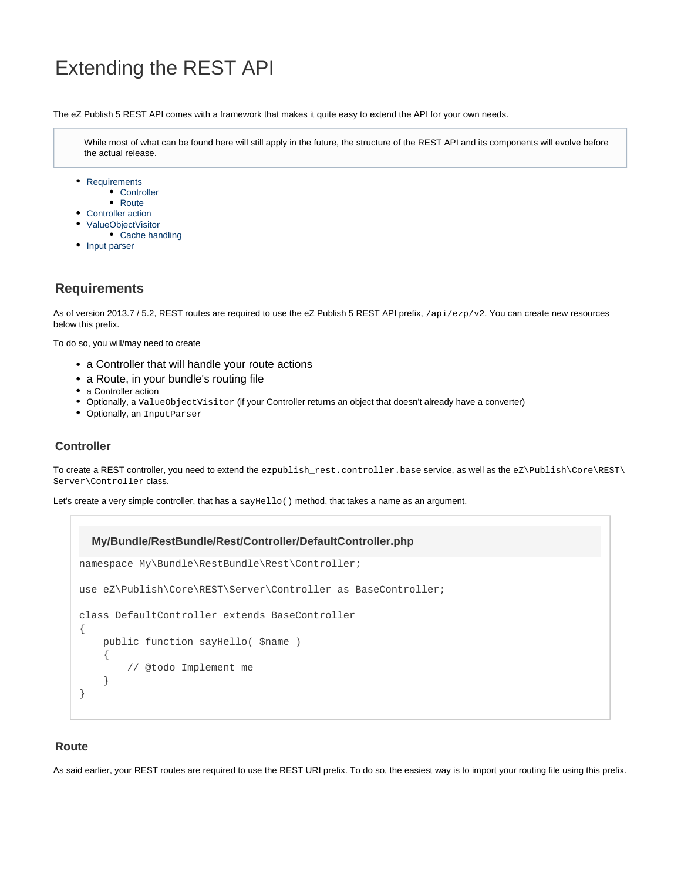# Extending the REST API

The eZ Publish 5 REST API comes with a framework that makes it quite easy to extend the API for your own needs.

While most of what can be found here will still apply in the future, the structure of the REST API and its components will evolve before the actual release.

- [Requirements](#page-0-0)
	- [Controller](#page-0-1) • [Route](#page-0-2)
- [Controller action](#page-1-0)
- [ValueObjectVisitor](#page-2-0)
- [Cache handling](#page-3-0)
- [Input parser](#page-3-1)

# <span id="page-0-0"></span>**Requirements**

As of version 2013.7 / 5.2, REST routes are required to use the eZ Publish 5 REST API prefix, /api/ezp/v2. You can create new resources below this prefix.

To do so, you will/may need to create

- a Controller that will handle your route actions
- a Route, in your bundle's routing file
- a Controller action
- Optionally, a ValueObjectVisitor (if your Controller returns an object that doesn't already have a converter)
- Optionally, an InputParser

# <span id="page-0-1"></span>**Controller**

To create a REST controller, you need to extend the ezpublish\_rest.controller.base service, as well as the eZ\Publish\Core\REST\ Server\Controller class.

Let's create a very simple controller, that has a say Hello() method, that takes a name as an argument.

# namespace My\Bundle\RestBundle\Rest\Controller; use eZ\Publish\Core\REST\Server\Controller as BaseController; class DefaultController extends BaseController { public function sayHello( \$name ) { // @todo Implement me } } **My/Bundle/RestBundle/Rest/Controller/DefaultController.php**

### <span id="page-0-2"></span>**Route**

As said earlier, your REST routes are required to use the REST URI prefix. To do so, the easiest way is to import your routing file using this prefix.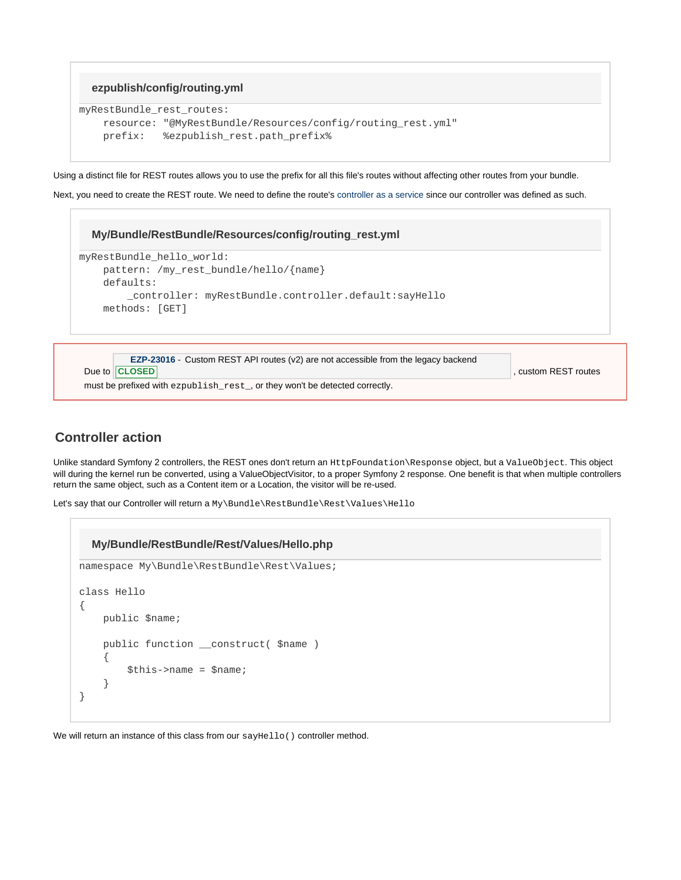```
ezpublish/config/routing.yml
```

```
myRestBundle_rest_routes:
    resource: "@MyRestBundle/Resources/config/routing_rest.yml"
    prefix: %ezpublish_rest.path_prefix%
```
Using a distinct file for REST routes allows you to use the prefix for all this file's routes without affecting other routes from your bundle.

Next, you need to create the REST route. We need to define the route's [controller as a service](http://symfony.com/doc/current/cookbook/controller/service.html) since our controller was defined as such.

#### **My/Bundle/RestBundle/Resources/config/routing\_rest.yml**

```
myRestBundle_hello_world:
     pattern: /my_rest_bundle/hello/{name}
     defaults:
         _controller: myRestBundle.controller.default:sayHello
     methods: [GET]
```

| EZP-23016 - Custom REST API routes (v2) are not accessible from the legacy backend |                      |
|------------------------------------------------------------------------------------|----------------------|
| Due to <b>CLOSED</b>                                                               | , custom REST routes |
| must be prefixed with ezpublish rest, or they won't be detected correctly.         |                      |

# <span id="page-1-0"></span>**Controller action**

Unlike standard Symfony 2 controllers, the REST ones don't return an HttpFoundation\Response object, but a ValueObject. This object will during the kernel run be converted, using a ValueObjectVisitor, to a proper Symfony 2 response. One benefit is that when multiple controllers return the same object, such as a Content item or a Location, the visitor will be re-used.

Let's say that our Controller will return a My\Bundle\RestBundle\Rest\Values\Hello

```
namespace My\Bundle\RestBundle\Rest\Values;
class Hello
{
     public $name;
     public function __construct( $name )
     {
         $this->name = $name;
     }
}
  My/Bundle/RestBundle/Rest/Values/Hello.php
```
We will return an instance of this class from our sayHello() controller method.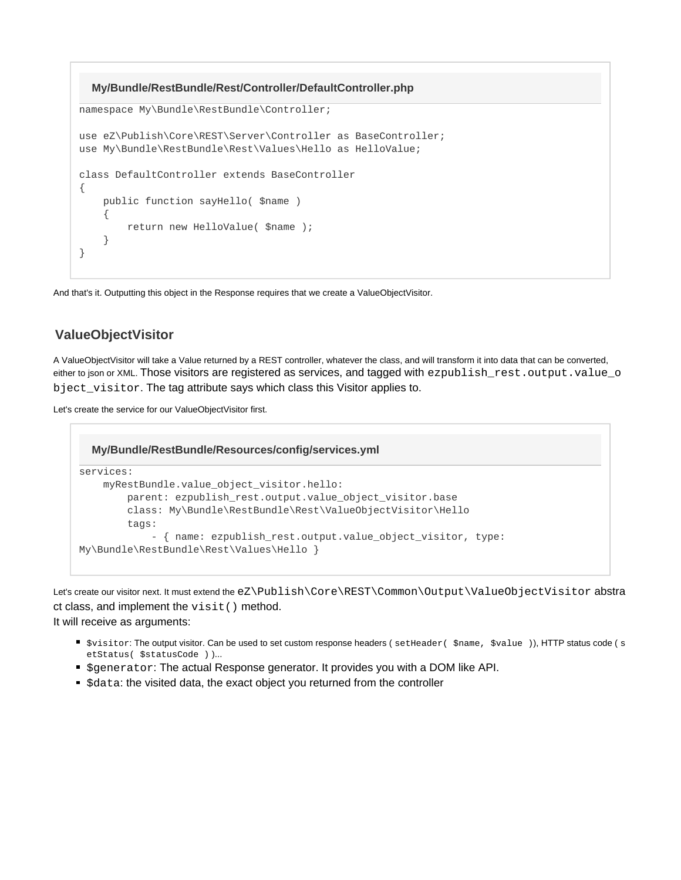

And that's it. Outputting this object in the Response requires that we create a ValueObjectVisitor.

# <span id="page-2-0"></span>**ValueObjectVisitor**

A ValueObjectVisitor will take a Value returned by a REST controller, whatever the class, and will transform it into data that can be converted, either to json or XML. Those visitors are registered as services, and tagged with ezpublish\_rest.output.value\_o bject visitor. The tag attribute says which class this Visitor applies to.

Let's create the service for our ValueObjectVisitor first.

```
services:
     myRestBundle.value_object_visitor.hello:
         parent: ezpublish_rest.output.value_object_visitor.base
         class: My\Bundle\RestBundle\Rest\ValueObjectVisitor\Hello
         tags:
             - { name: ezpublish_rest.output.value_object_visitor, type:
My\Bundle\RestBundle\Rest\Values\Hello }
  My/Bundle/RestBundle/Resources/config/services.yml
```
Let's create our visitor next. It must extend the eZ\Publish\Core\REST\Common\Output\ValueObjectVisitor abstra ct class, and implement the visit() method. It will receive as arguments:

- \$visitor: The output visitor. Can be used to set custom response headers (setHeader( \$name, \$value )), HTTP status code (s etStatus( \$statusCode ) )...
- Sgenerator: The actual Response generator. It provides you with a DOM like API.
- Sdata: the visited data, the exact object you returned from the controller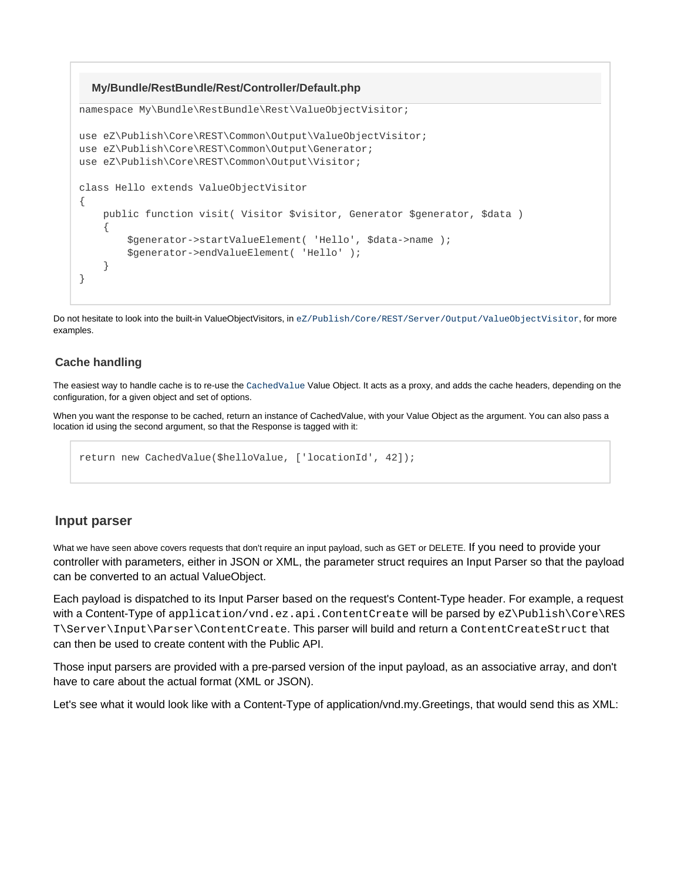#### **My/Bundle/RestBundle/Rest/Controller/Default.php**

```
namespace My\Bundle\RestBundle\Rest\ValueObjectVisitor;
use eZ\Publish\Core\REST\Common\Output\ValueObjectVisitor;
use eZ\Publish\Core\REST\Common\Output\Generator;
use eZ\Publish\Core\REST\Common\Output\Visitor;
class Hello extends ValueObjectVisitor
{
     public function visit( Visitor $visitor, Generator $generator, $data )
     {
         $generator->startValueElement( 'Hello', $data->name );
         $generator->endValueElement( 'Hello' );
     }
}
```
Do not hesitate to look into the built-in ValueObjectVisitors, in [eZ/Publish/Core/REST/Server/Output/ValueObjectVisitor](https://github.com/ezsystems/ezpublish-kernel/tree/master/eZ/Publish/Core/REST/Server/Output/ValueObjectVisitor), for more examples.

#### <span id="page-3-0"></span>**Cache handling**

The easiest way to handle cache is to re-use the [CachedValue](https://github.com/ezsystems/ezpublish-kernel/blob/master/eZ/Publish/Core/REST/Server/Output/ValueObjectVisitor/CachedValue.php) Value Object. It acts as a proxy, and adds the cache headers, depending on the configuration, for a given object and set of options.

When you want the response to be cached, return an instance of CachedValue, with your Value Object as the argument. You can also pass a location id using the second argument, so that the Response is tagged with it:

return new CachedValue(\$helloValue, ['locationId', 42]);

### <span id="page-3-1"></span>**Input parser**

What we have seen above covers requests that don't require an input payload, such as GET or DELETE. If you need to provide your controller with parameters, either in JSON or XML, the parameter struct requires an Input Parser so that the payload can be converted to an actual ValueObject.

Each payload is dispatched to its Input Parser based on the request's Content-Type header. For example, a request with a Content-Type of application/vnd.ez.api.ContentCreate will be parsed by eZ\Publish\Core\RES T\Server\Input\Parser\ContentCreate. This parser will build and return a ContentCreateStruct that can then be used to create content with the Public API.

Those input parsers are provided with a pre-parsed version of the input payload, as an associative array, and don't have to care about the actual format (XML or JSON).

Let's see what it would look like with a Content-Type of application/vnd.my.Greetings, that would send this as XML: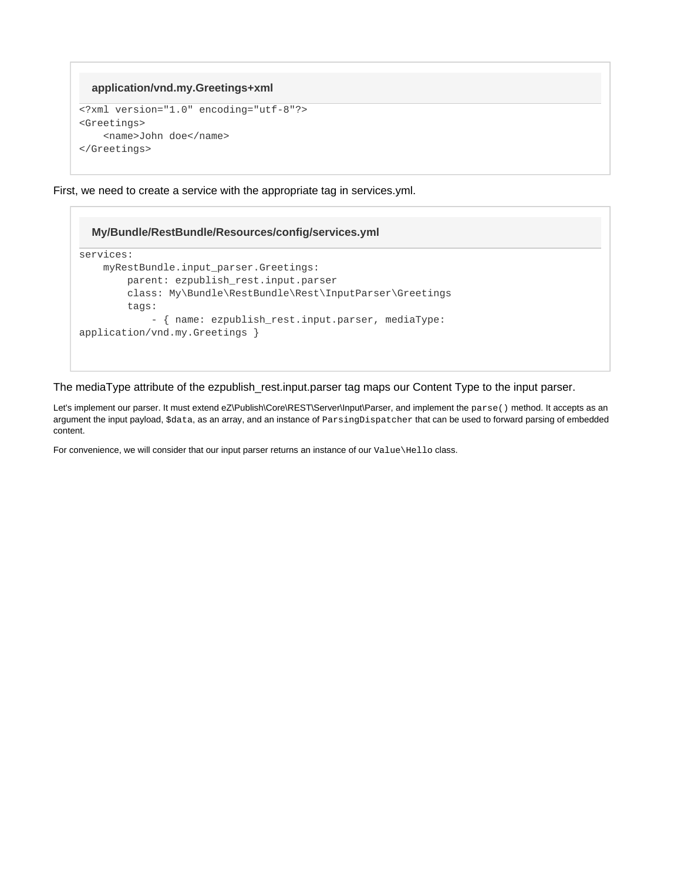# **application/vnd.my.Greetings+xml**

```
<?xml version="1.0" encoding="utf-8"?>
<Greetings>
     <name>John doe</name>
</Greetings>
```
First, we need to create a service with the appropriate tag in services.yml.

### **My/Bundle/RestBundle/Resources/config/services.yml**

```
services:
    myRestBundle.input_parser.Greetings:
        parent: ezpublish_rest.input.parser
         class: My\Bundle\RestBundle\Rest\InputParser\Greetings
         tags:
             - { name: ezpublish_rest.input.parser, mediaType:
application/vnd.my.Greetings }
```
The mediaType attribute of the ezpublish\_rest.input.parser tag maps our Content Type to the input parser.

Let's implement our parser. It must extend eZ\Publish\Core\REST\Server\Input\Parser, and implement the parse() method. It accepts as an argument the input payload, \$data, as an array, and an instance of ParsingDispatcher that can be used to forward parsing of embedded content.

For convenience, we will consider that our input parser returns an instance of our Value\Hello class.